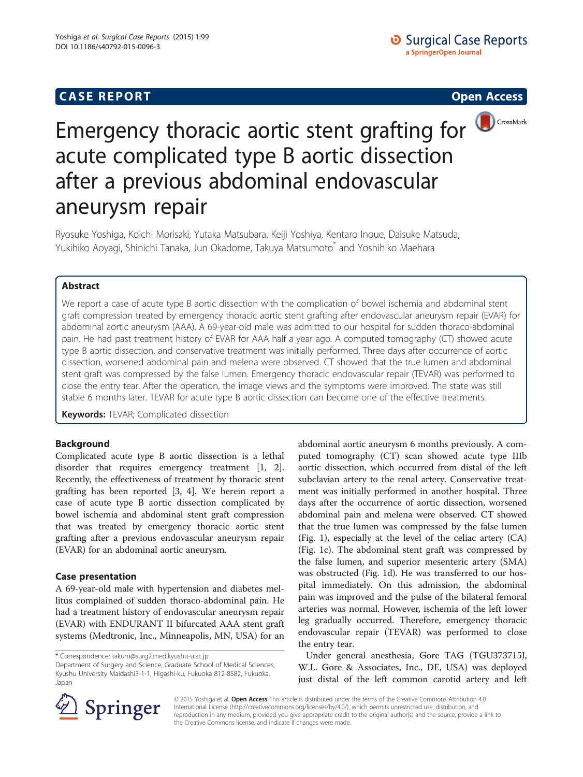## **CASE REPORT CASE REPORT CASE REPORT**



# Emergency thoracic aortic stent grafting for  $\bigcirc$  CrossMark acute complicated type B aortic dissection after a previous abdominal endovascular aneurysm repair

Ryosuke Yoshiga, Koichi Morisaki, Yutaka Matsubara, Keiji Yoshiya, Kentaro Inoue, Daisuke Matsuda, Yukihiko Aoyagi, Shinichi Tanaka, Jun Okadome, Takuya Matsumoto\* and Yoshihiko Maehara

## Abstract

We report a case of acute type B aortic dissection with the complication of bowel ischemia and abdominal stent graft compression treated by emergency thoracic aortic stent grafting after endovascular aneurysm repair (EVAR) for abdominal aortic aneurysm (AAA). A 69-year-old male was admitted to our hospital for sudden thoraco-abdominal pain. He had past treatment history of EVAR for AAA half a year ago. A computed tomography (CT) showed acute type B aortic dissection, and conservative treatment was initially performed. Three days after occurrence of aortic dissection, worsened abdominal pain and melena were observed. CT showed that the true lumen and abdominal stent graft was compressed by the false lumen. Emergency thoracic endovascular repair (TEVAR) was performed to close the entry tear. After the operation, the image views and the symptoms were improved. The state was still stable 6 months later. TEVAR for acute type B aortic dissection can become one of the effective treatments.

**Keywords: TEVAR; Complicated dissection** 

## Background

Complicated acute type B aortic dissection is a lethal disorder that requires emergency treatment [\[1](#page-3-0), [2](#page-3-0)]. Recently, the effectiveness of treatment by thoracic stent grafting has been reported [[3, 4\]](#page-3-0). We herein report a case of acute type B aortic dissection complicated by bowel ischemia and abdominal stent graft compression that was treated by emergency thoracic aortic stent grafting after a previous endovascular aneurysm repair (EVAR) for an abdominal aortic aneurysm.

## Case presentation

A 69-year-old male with hypertension and diabetes mellitus complained of sudden thoraco-abdominal pain. He had a treatment history of endovascular aneurysm repair (EVAR) with ENDURANT II bifurcated AAA stent graft systems (Medtronic, Inc., Minneapolis, MN, USA) for an

\* Correspondence: [takum@surg2.med.kyushu-u.ac.jp](mailto:takum@surg2.med.kyushu-u.ac.jp)

Department of Surgery and Science, Graduate School of Medical Sciences, Kyushu University Maidashi3-1-1, Higashi-ku, Fukuoka 812-8582, Fukuoka, Japan

abdominal aortic aneurysm 6 months previously. A computed tomography (CT) scan showed acute type IIIb aortic dissection, which occurred from distal of the left subclavian artery to the renal artery. Conservative treatment was initially performed in another hospital. Three days after the occurrence of aortic dissection, worsened abdominal pain and melena were observed. CT showed that the true lumen was compressed by the false lumen (Fig. [1](#page-1-0)), especially at the level of the celiac artery (CA) (Fig. [1c\)](#page-1-0). The abdominal stent graft was compressed by the false lumen, and superior mesenteric artery (SMA) was obstructed (Fig. [1d](#page-1-0)). He was transferred to our hospital immediately. On this admission, the abdominal pain was improved and the pulse of the bilateral femoral arteries was normal. However, ischemia of the left lower leg gradually occurred. Therefore, emergency thoracic endovascular repair (TEVAR) was performed to close the entry tear.

Under general anesthesia, Gore TAG (TGU373715J, W.L. Gore & Associates, Inc., DE, USA) was deployed just distal of the left common carotid artery and left



© 2015 Yoshiga et al. Open Access This article is distributed under the terms of the Creative Commons Attribution 4.0 International License ([http://creativecommons.org/licenses/by/4.0/\)](http://creativecommons.org/licenses/by/4.0/), which permits unrestricted use, distribution, and reproduction in any medium, provided you give appropriate credit to the original author(s) and the source, provide a link to the Creative Commons license, and indicate if changes were made.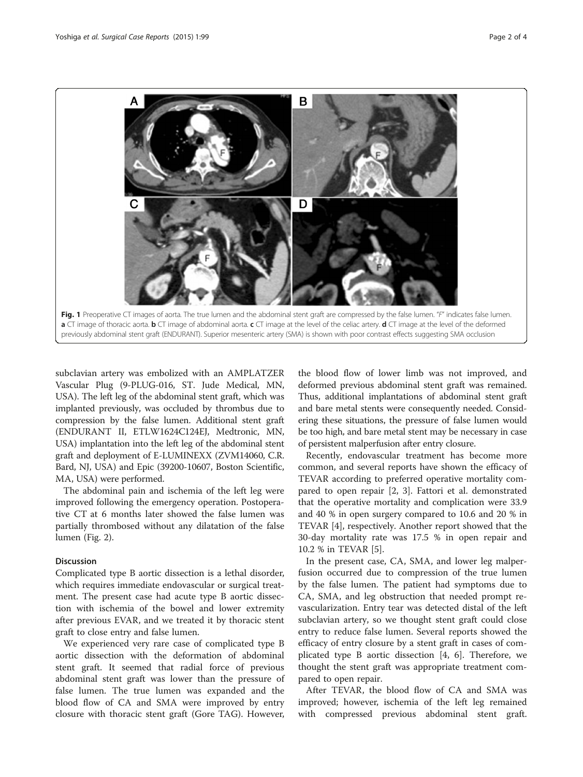<span id="page-1-0"></span>

subclavian artery was embolized with an AMPLATZER Vascular Plug (9-PLUG-016, ST. Jude Medical, MN, USA). The left leg of the abdominal stent graft, which was implanted previously, was occluded by thrombus due to compression by the false lumen. Additional stent graft (ENDURANT II, ETLW1624C124EJ, Medtronic, MN, USA) implantation into the left leg of the abdominal stent graft and deployment of E-LUMINEXX (ZVM14060, C.R. Bard, NJ, USA) and Epic (39200-10607, Boston Scientific, MA, USA) were performed.

The abdominal pain and ischemia of the left leg were improved following the emergency operation. Postoperative CT at 6 months later showed the false lumen was partially thrombosed without any dilatation of the false lumen (Fig. [2](#page-2-0)).

## Discussion

Complicated type B aortic dissection is a lethal disorder, which requires immediate endovascular or surgical treatment. The present case had acute type B aortic dissection with ischemia of the bowel and lower extremity after previous EVAR, and we treated it by thoracic stent graft to close entry and false lumen.

We experienced very rare case of complicated type B aortic dissection with the deformation of abdominal stent graft. It seemed that radial force of previous abdominal stent graft was lower than the pressure of false lumen. The true lumen was expanded and the blood flow of CA and SMA were improved by entry closure with thoracic stent graft (Gore TAG). However,

the blood flow of lower limb was not improved, and deformed previous abdominal stent graft was remained. Thus, additional implantations of abdominal stent graft and bare metal stents were consequently needed. Considering these situations, the pressure of false lumen would be too high, and bare metal stent may be necessary in case of persistent malperfusion after entry closure.

Recently, endovascular treatment has become more common, and several reports have shown the efficacy of TEVAR according to preferred operative mortality compared to open repair [\[2](#page-3-0), [3](#page-3-0)]. Fattori et al. demonstrated that the operative mortality and complication were 33.9 and 40 % in open surgery compared to 10.6 and 20 % in TEVAR [[4\]](#page-3-0), respectively. Another report showed that the 30-day mortality rate was 17.5 % in open repair and 10.2 % in TEVAR [\[5](#page-3-0)].

In the present case, CA, SMA, and lower leg malperfusion occurred due to compression of the true lumen by the false lumen. The patient had symptoms due to CA, SMA, and leg obstruction that needed prompt revascularization. Entry tear was detected distal of the left subclavian artery, so we thought stent graft could close entry to reduce false lumen. Several reports showed the efficacy of entry closure by a stent graft in cases of complicated type B aortic dissection [\[4](#page-3-0), [6](#page-3-0)]. Therefore, we thought the stent graft was appropriate treatment compared to open repair.

After TEVAR, the blood flow of CA and SMA was improved; however, ischemia of the left leg remained with compressed previous abdominal stent graft.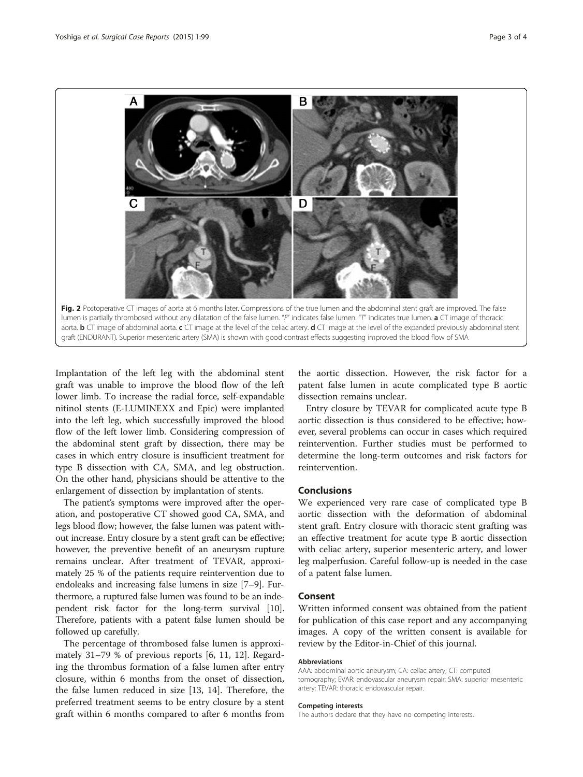<span id="page-2-0"></span>

Implantation of the left leg with the abdominal stent graft was unable to improve the blood flow of the left lower limb. To increase the radial force, self-expandable nitinol stents (E-LUMINEXX and Epic) were implanted into the left leg, which successfully improved the blood flow of the left lower limb. Considering compression of the abdominal stent graft by dissection, there may be cases in which entry closure is insufficient treatment for type B dissection with CA, SMA, and leg obstruction. On the other hand, physicians should be attentive to the enlargement of dissection by implantation of stents.

The patient's symptoms were improved after the operation, and postoperative CT showed good CA, SMA, and legs blood flow; however, the false lumen was patent without increase. Entry closure by a stent graft can be effective; however, the preventive benefit of an aneurysm rupture remains unclear. After treatment of TEVAR, approximately 25 % of the patients require reintervention due to endoleaks and increasing false lumens in size [\[7](#page-3-0)–[9\]](#page-3-0). Furthermore, a ruptured false lumen was found to be an independent risk factor for the long-term survival [[10](#page-3-0)]. Therefore, patients with a patent false lumen should be followed up carefully.

The percentage of thrombosed false lumen is approximately 31–79 % of previous reports [\[6](#page-3-0), [11, 12\]](#page-3-0). Regarding the thrombus formation of a false lumen after entry closure, within 6 months from the onset of dissection, the false lumen reduced in size [\[13, 14\]](#page-3-0). Therefore, the preferred treatment seems to be entry closure by a stent graft within 6 months compared to after 6 months from

the aortic dissection. However, the risk factor for a patent false lumen in acute complicated type B aortic dissection remains unclear.

Entry closure by TEVAR for complicated acute type B aortic dissection is thus considered to be effective; however, several problems can occur in cases which required reintervention. Further studies must be performed to determine the long-term outcomes and risk factors for reintervention.

### Conclusions

We experienced very rare case of complicated type B aortic dissection with the deformation of abdominal stent graft. Entry closure with thoracic stent grafting was an effective treatment for acute type B aortic dissection with celiac artery, superior mesenteric artery, and lower leg malperfusion. Careful follow-up is needed in the case of a patent false lumen.

## Consent

Written informed consent was obtained from the patient for publication of this case report and any accompanying images. A copy of the written consent is available for review by the Editor-in-Chief of this journal.

#### Abbreviations

AAA: abdominal aortic aneurysm; CA: celiac artery; CT: computed tomography; EVAR: endovascular aneurysm repair; SMA: superior mesenteric artery; TEVAR: thoracic endovascular repair.

#### Competing interests

The authors declare that they have no competing interests.